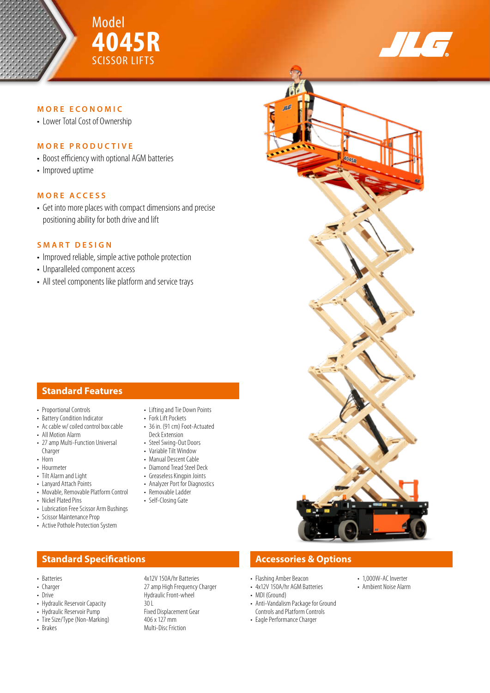



## **MORE ECONOMIC**

• Lower Total Cost of Ownership

## **MORE PRODUCTIVE**

- Boost efficiency with optional AGM batteries
- Improved uptime

### **MORE ACCESS**

• Get into more places with compact dimensions and precise positioning ability for both drive and lift

## **SMART DESIGN**

- Improved reliable, simple active pothole protection
- Unparalleled component access
- All steel components like platform and service trays

# **Standard Features**

- Proportional Controls
- Battery Condition Indicator
- Ac cable w/ coiled control box cable
- All Motion Alarm
- 27 amp Multi-Function Universal Charger
- Horn • Hourmeter
- Tilt Alarm and Light
- Lanyard Attach Points
- Movable, Removable Platform Control
- Nickel Plated Pins
- Lubrication Free Scissor Arm Bushings
- Scissor Maintenance Prop
- Active Pothole Protection System

# **Standard Specifications Accessories & Options**

- Batteries 4x12V 150A/hr Batteries
- 
- 
- Drive **Hydraulic Front-wheel**<br>• Hydraulic Reservoir Capacity **1998** Hydraulic Front-wheel • Hydraulic Reservoir Capacity **30 L**<br>• Hydraulic Reservoir Pump **Fixed Displacement Gear**
- Hydraulic Reservoir Pump<br>• Tire Size/Tyne (Non-Marking) 406 x 127 mm
- Tire Size/Type (Non-Marking)<br>• Brakes
- 
- Lifting and Tie Down Points
	- Fork Lift Pockets
	- 36 in. (91 cm) Foot-Actuated Deck Extension
	- Steel Swing-Out Doors
	- Variable Tilt Window
	- Manual Descent Cable
	- Diamond Tread Steel Deck
	- Greaseless Kingpin Joints • Analyzer Port for Diagnostics
	- Removable Ladder

27 amp High Frequency Charger

**Multi-Disc Friction** 

- Self-Closing Gate
- 

• Flashing Amber Beacon

- 4x12V 150A/hr AGM Batteries
- MDI (Ground)
- Anti-Vandalism Package for Ground Controls and Platform Controls
- Eagle Performance Charger
- 1,000W-AC Inverter
- Ambient Noise Alarm